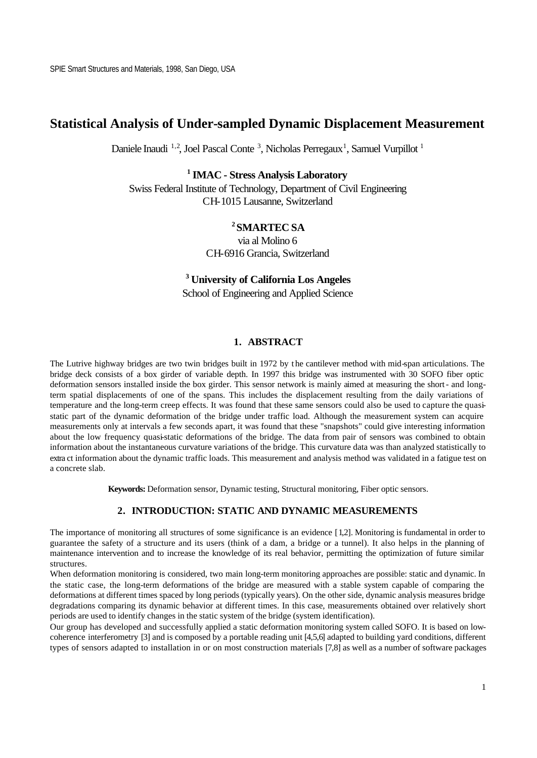# **Statistical Analysis of Under-sampled Dynamic Displacement Measurement**

Daniele Inaudi<sup>1,2</sup>, Joel Pascal Conte<sup>3</sup>, Nicholas Perregaux<sup>1</sup>, Samuel Vurpillot<sup>1</sup>

**<sup>1</sup>IMAC - Stress Analysis Laboratory**

Swiss Federal Institute of Technology, Department of Civil Engineering CH-1015 Lausanne, Switzerland

## **<sup>2</sup>SMARTEC SA**

via al Molino 6 CH-6916 Grancia, Switzerland

**<sup>3</sup>University of California Los Angeles** School of Engineering and Applied Science

### **1. ABSTRACT**

The Lutrive highway bridges are two twin bridges built in 1972 by t he cantilever method with mid-span articulations. The bridge deck consists of a box girder of variable depth. In 1997 this bridge was instrumented with 30 SOFO fiber optic deformation sensors installed inside the box girder. This sensor network is mainly aimed at measuring the short- and longterm spatial displacements of one of the spans. This includes the displacement resulting from the daily variations of temperature and the long-term creep effects. It was found that these same sensors could also be used to capture the quasistatic part of the dynamic deformation of the bridge under traffic load. Although the measurement system can acquire measurements only at intervals a few seconds apart, it was found that these "snapshots" could give interesting information about the low frequency quasi-static deformations of the bridge. The data from pair of sensors was combined to obtain information about the instantaneous curvature variations of the bridge. This curvature data was than analyzed statistically to extra ct information about the dynamic traffic loads. This measurement and analysis method was validated in a fatigue test on a concrete slab.

**Keywords:** Deformation sensor, Dynamic testing, Structural monitoring, Fiber optic sensors.

#### **2. INTRODUCTION: STATIC AND DYNAMIC MEASUREMENTS**

The importance of monitoring all structures of some significance is an evidence [1,2]. Monitoring is fundamental in order to guarantee the safety of a structure and its users (think of a dam, a bridge or a tunnel). It also helps in the planning of maintenance intervention and to increase the knowledge of its real behavior, permitting the optimization of future similar structures.

When deformation monitoring is considered, two main long-term monitoring approaches are possible: static and dynamic. In the static case, the long-term deformations of the bridge are measured with a stable system capable of comparing the deformations at different times spaced by long periods (typically years). On the other side, dynamic analysis measures bridge degradations comparing its dynamic behavior at different times. In this case, measurements obtained over relatively short periods are used to identify changes in the static system of the bridge (system identification).

Our group has developed and successfully applied a static deformation monitoring system called SOFO. It is based on lowcoherence interferometry [3] and is composed by a portable reading unit [4,5,6] adapted to building yard conditions, different types of sensors adapted to installation in or on most construction materials [7,8] as well as a number of software packages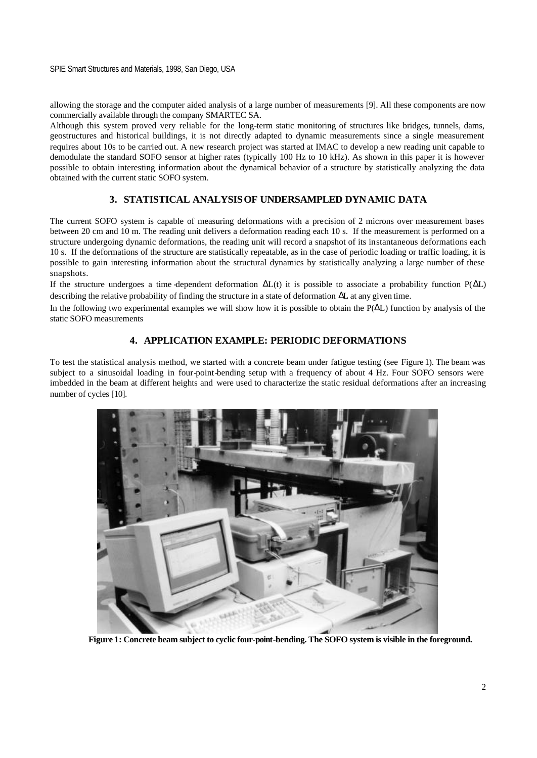allowing the storage and the computer aided analysis of a large number of measurements [9]. All these components are now commercially available through the company SMARTEC SA.

Although this system proved very reliable for the long-term static monitoring of structures like bridges, tunnels, dams, geostructures and historical buildings, it is not directly adapted to dynamic measurements since a single measurement requires about 10s to be carried out. A new research project was started at IMAC to develop a new reading unit capable to demodulate the standard SOFO sensor at higher rates (typically 100 Hz to 10 kHz). As shown in this paper it is however possible to obtain interesting information about the dynamical behavior of a structure by statistically analyzing the data obtained with the current static SOFO system.

### **3. STATISTICAL ANALYSIS OF UNDERSAMPLED DYNAMIC DATA**

The current SOFO system is capable of measuring deformations with a precision of 2 microns over measurement bases between 20 cm and 10 m. The reading unit delivers a deformation reading each 10 s. If the measurement is performed on a structure undergoing dynamic deformations, the reading unit will record a snapshot of its instantaneous deformations each 10 s. If the deformations of the structure are statistically repeatable, as in the case of periodic loading or traffic loading, it is possible to gain interesting information about the structural dynamics by statistically analyzing a large number of these snapshots.

If the structure undergoes a time -dependent deformation  $\Delta L(t)$  it is possible to associate a probability function  $P(\Delta L)$ describing the relative probability of finding the structure in a state of deformation ΔL at any given time.

In the following two experimental examples we will show how it is possible to obtain the  $P(\Delta L)$  function by analysis of the static SOFO measurements

### **4. APPLICATION EXAMPLE: PERIODIC DEFORMATIONS**

To test the statistical analysis method, we started with a concrete beam under fatigue testing (see Figure 1). The beam was subject to a sinusoidal loading in four-point-bending setup with a frequency of about 4 Hz. Four SOFO sensors were imbedded in the beam at different heights and were used to characterize the static residual deformations after an increasing number of cycles [10].



**Figure 1: Concrete beam subject to cyclic four-point-bending. The SOFO system is visible in the foreground.**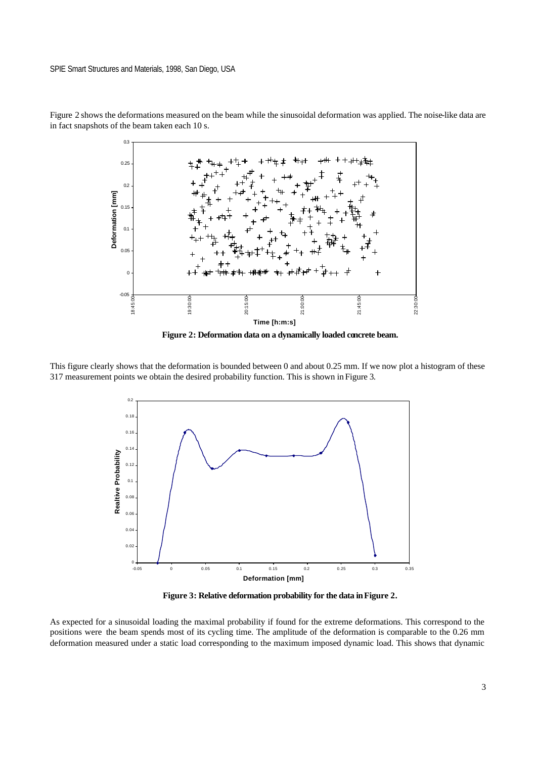

Figure 2 shows the deformations measured on the beam while the sinusoidal deformation was applied. The noise-like data are in fact snapshots of the beam taken each 10 s.

**Figure 2: Deformation data on a dynamically loaded concrete beam.**

This figure clearly shows that the deformation is bounded between 0 and about 0.25 mm. If we now plot a histogram of these 317 measurement points we obtain the desired probability function. This is shown in Figure 3.



**Figure 3: Relative deformation probability for the data in Figure 2.**

As expected for a sinusoidal loading the maximal probability if found for the extreme deformations. This correspond to the positions were the beam spends most of its cycling time. The amplitude of the deformation is comparable to the 0.26 mm deformation measured under a static load corresponding to the maximum imposed dynamic load. This shows that dynamic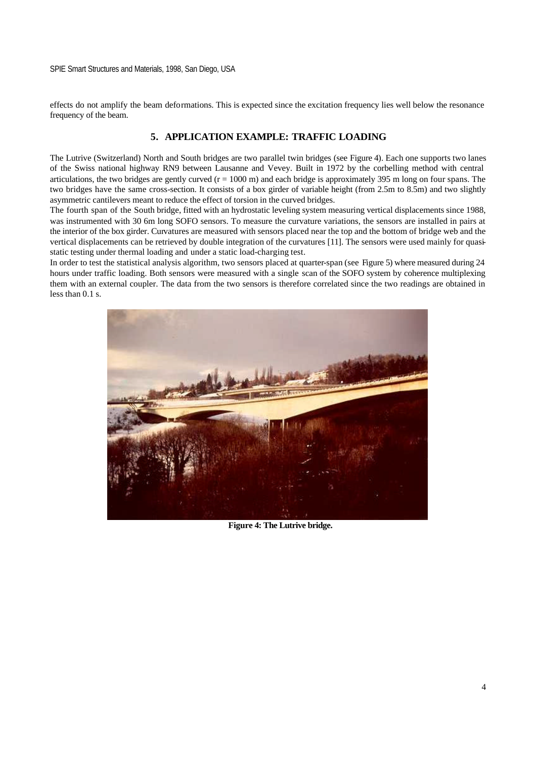SPIE Smart Structures and Materials, 1998, San Diego, USA

effects do not amplify the beam deformations. This is expected since the excitation frequency lies well below the resonance frequency of the beam.

### **5. APPLICATION EXAMPLE: TRAFFIC LOADING**

The Lutrive (Switzerland) North and South bridges are two parallel twin bridges (see Figure 4). Each one supports two lanes of the Swiss national highway RN9 between Lausanne and Vevey. Built in 1972 by the corbelling method with central articulations, the two bridges are gently curved  $(r = 1000 \text{ m})$  and each bridge is approximately 395 m long on four spans. The two bridges have the same cross-section. It consists of a box girder of variable height (from 2.5m to 8.5m) and two slightly asymmetric cantilevers meant to reduce the effect of torsion in the curved bridges.

The fourth span of the South bridge, fitted with an hydrostatic leveling system measuring vertical displacements since 1988, was instrumented with 30 6m long SOFO sensors. To measure the curvature variations, the sensors are installed in pairs at the interior of the box girder. Curvatures are measured with sensors placed near the top and the bottom of bridge web and the vertical displacements can be retrieved by double integration of the curvatures [11]. The sensors were used mainly for quasistatic testing under thermal loading and under a static load-charging test.

In order to test the statistical analysis algorithm, two sensors placed at quarter-span (see Figure 5) where measured during 24 hours under traffic loading. Both sensors were measured with a single scan of the SOFO system by coherence multiplexing them with an external coupler. The data from the two sensors is therefore correlated since the two readings are obtained in less than 0.1 s.



**Figure 4: The Lutrive bridge.**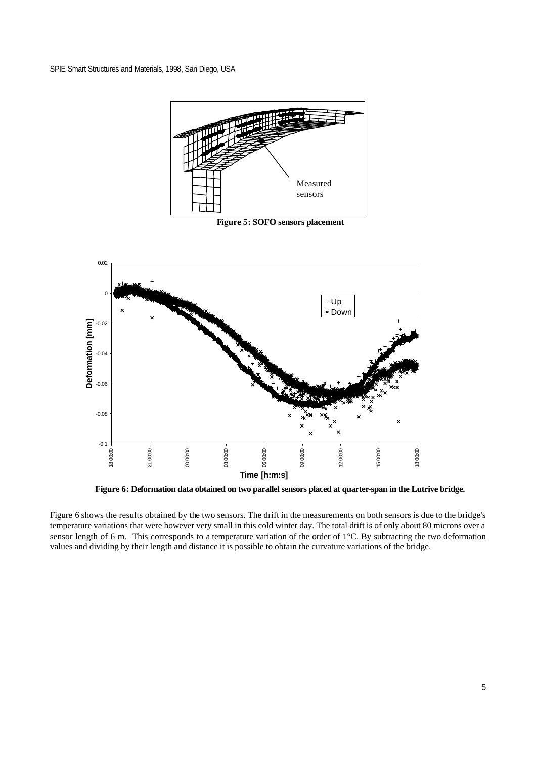

**Figure 5: SOFO sensors placement**



**Figure 6: Deformation data obtained on two parallel sensors placed at quarter-span in the Lutrive bridge.**

Figure 6 shows the results obtained by the two sensors. The drift in the measurements on both sensors is due to the bridge's temperature variations that were however very small in this cold winter day. The total drift is of only about 80 microns over a sensor length of 6 m. This corresponds to a temperature variation of the order of 1°C. By subtracting the two deformation values and dividing by their length and distance it is possible to obtain the curvature variations of the bridge.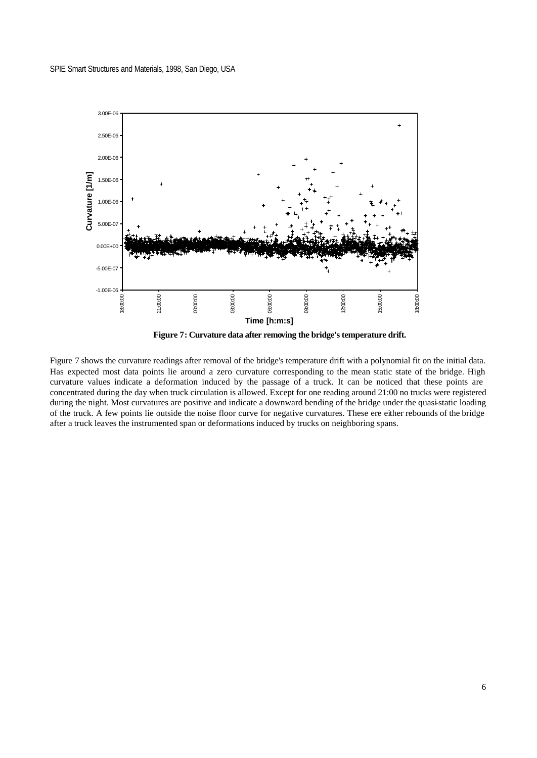

**Figure 7: Curvature data after removing the bridge's temperature drift.**

Figure 7 shows the curvature readings after removal of the bridge's temperature drift with a polynomial fit on the initial data. Has expected most data points lie around a zero curvature corresponding to the mean static state of the bridge. High curvature values indicate a deformation induced by the passage of a truck. It can be noticed that these points are concentrated during the day when truck circulation is allowed. Except for one reading around 21:00 no trucks were registered during the night. Most curvatures are positive and indicate a downward bending of the bridge under the quasi-static loading of the truck. A few points lie outside the noise floor curve for negative curvatures. These ere either rebounds of the bridge after a truck leaves the instrumented span or deformations induced by trucks on neighboring spans.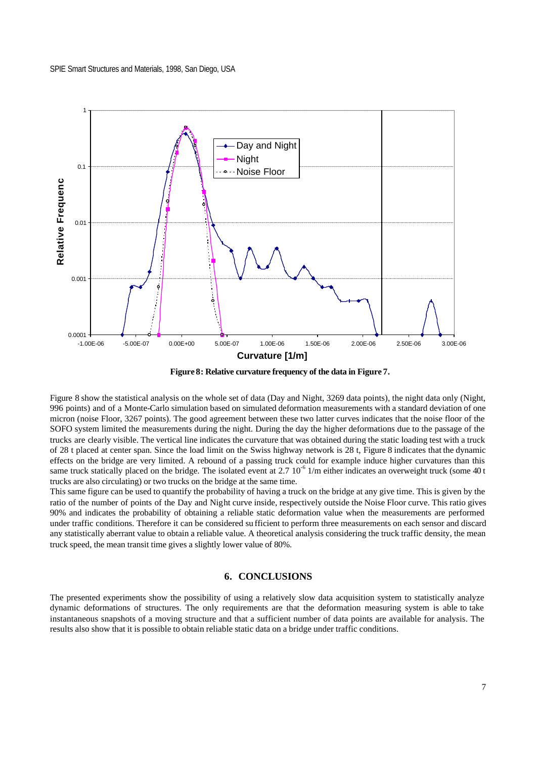SPIE Smart Structures and Materials, 1998, San Diego, USA



**Figure 8: Relative curvature frequency of the data in Figure 7.**

Figure 8 show the statistical analysis on the whole set of data (Day and Night, 3269 data points), the night data only (Night, 996 points) and of a Monte-Carlo simulation based on simulated deformation measurements with a standard deviation of one micron (noise Floor, 3267 points). The good agreement between these two latter curves indicates that the noise floor of the SOFO system limited the measurements during the night. During the day the higher deformations due to the passage of the trucks are clearly visible. The vertical line indicates the curvature that was obtained during the static loading test with a truck of 28 t placed at center span. Since the load limit on the Swiss highway network is 28 t, Figure 8 indicates that the dynamic effects on the bridge are very limited. A rebound of a passing truck could for example induce higher curvatures than this same truck statically placed on the bridge. The isolated event at 2.7  $10^{-6}$  1/m either indicates an overweight truck (some 40 t trucks are also circulating) or two trucks on the bridge at the same time.

This same figure can be used to quantify the probability of having a truck on the bridge at any give time. This is given by the ratio of the number of points of the Day and Night curve inside, respectively outside the Noise Floor curve. This ratio gives 90% and indicates the probability of obtaining a reliable static deformation value when the measurements are performed under traffic conditions. Therefore it can be considered su fficient to perform three measurements on each sensor and discard any statistically aberrant value to obtain a reliable value. A theoretical analysis considering the truck traffic density, the mean truck speed, the mean transit time gives a slightly lower value of 80%.

#### **6. CONCLUSIONS**

The presented experiments show the possibility of using a relatively slow data acquisition system to statistically analyze dynamic deformations of structures. The only requirements are that the deformation measuring system is able to take instantaneous snapshots of a moving structure and that a sufficient number of data points are available for analysis. The results also show that it is possible to obtain reliable static data on a bridge under traffic conditions.